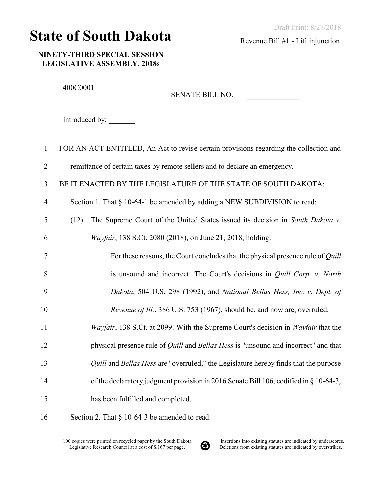## State of South Dakota

Revenue Bill #1 - Lift injunction

NINETY-THIRD SPECIAL SESSION LEGISLATIVE ASSEMBLY, 2018s

400C0001

SENATE BILL NO.

Introduced by:

| $\mathbf{1}$   | FOR AN ACT ENTITLED, An Act to revise certain provisions regarding the collection and             |
|----------------|---------------------------------------------------------------------------------------------------|
| $\overline{2}$ | remittance of certain taxes by remote sellers and to declare an emergency.                        |
| 3              | BE IT ENACTED BY THE LEGISLATURE OF THE STATE OF SOUTH DAKOTA:                                    |
| $\overline{4}$ | Section 1. That § 10-64-1 be amended by adding a NEW SUBDIVISION to read:                         |
| 5              | The Supreme Court of the United States issued its decision in South Dakota v.<br>(12)             |
| 6              | Wayfair, 138 S.Ct. 2080 (2018), on June 21, 2018, holding:                                        |
| $\tau$         | For these reasons, the Court concludes that the physical presence rule of Quill                   |
| 8              | is unsound and incorrect. The Court's decisions in <i>Quill Corp. v. North</i>                    |
| 9              | Dakota, 504 U.S. 298 (1992), and National Bellas Hess, Inc. v. Dept. of                           |
| 10             | Revenue of Ill., 386 U.S. 753 (1967), should be, and now are, overruled.                          |
| 11             | Wayfair, 138 S.Ct. at 2099. With the Supreme Court's decision in Wayfair that the                 |
| 12             | physical presence rule of <i>Quill</i> and <i>Bellas Hess</i> is "unsound and incorrect" and that |
| 13             | Quill and Bellas Hess are "overruled," the Legislature hereby finds that the purpose              |
| 14             | of the declaratory judgment provision in 2016 Senate Bill 106, codified in § 10-64-3,             |
| 15             | has been fulfilled and completed.                                                                 |
| 16             | Section 2. That $\S$ 10-64-3 be amended to read:                                                  |

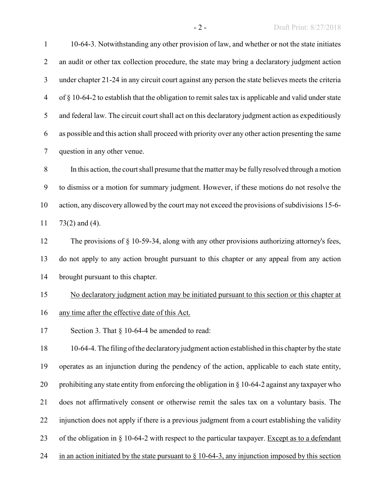10-64-3. Notwithstanding any other provision of law, and whether or not the state initiates 2 an audit or other tax collection procedure, the state may bring a declaratory judgment action under chapter 21-24 in any circuit court against any person the state believes meets the criteria of § 10-64-2 to establish that the obligation to remit sales tax is applicable and valid under state and federal law. The circuit court shall act on this declaratory judgment action as expeditiously as possible and this action shall proceed with priority over any other action presenting the same question in any other venue.

 In this action, the court shall presume that the matter may be fully resolved through a motion to dismiss or a motion for summary judgment. However, if these motions do not resolve the action, any discovery allowed by the court may not exceed the provisions of subdivisions 15-6- 73(2) and (4).

 The provisions of § 10-59-34, along with any other provisions authorizing attorney's fees, do not apply to any action brought pursuant to this chapter or any appeal from any action brought pursuant to this chapter.

No declaratory judgment action may be initiated pursuant to this section or this chapter at

## any time after the effective date of this Act.

17 Section 3. That § 10-64-4 be amended to read:

 10-64-4. The filing of the declaratory judgment action established in this chapter by the state operates as an injunction during the pendency of the action, applicable to each state entity, 20 prohibiting any state entity from enforcing the obligation in  $\S$  10-64-2 against any taxpayer who does not affirmatively consent or otherwise remit the sales tax on a voluntary basis. The injunction does not apply if there is a previous judgment from a court establishing the validity 23 of the obligation in § 10-64-2 with respect to the particular taxpayer. Except as to a defendant 24 in an action initiated by the state pursuant to  $\S$  10-64-3, any injunction imposed by this section